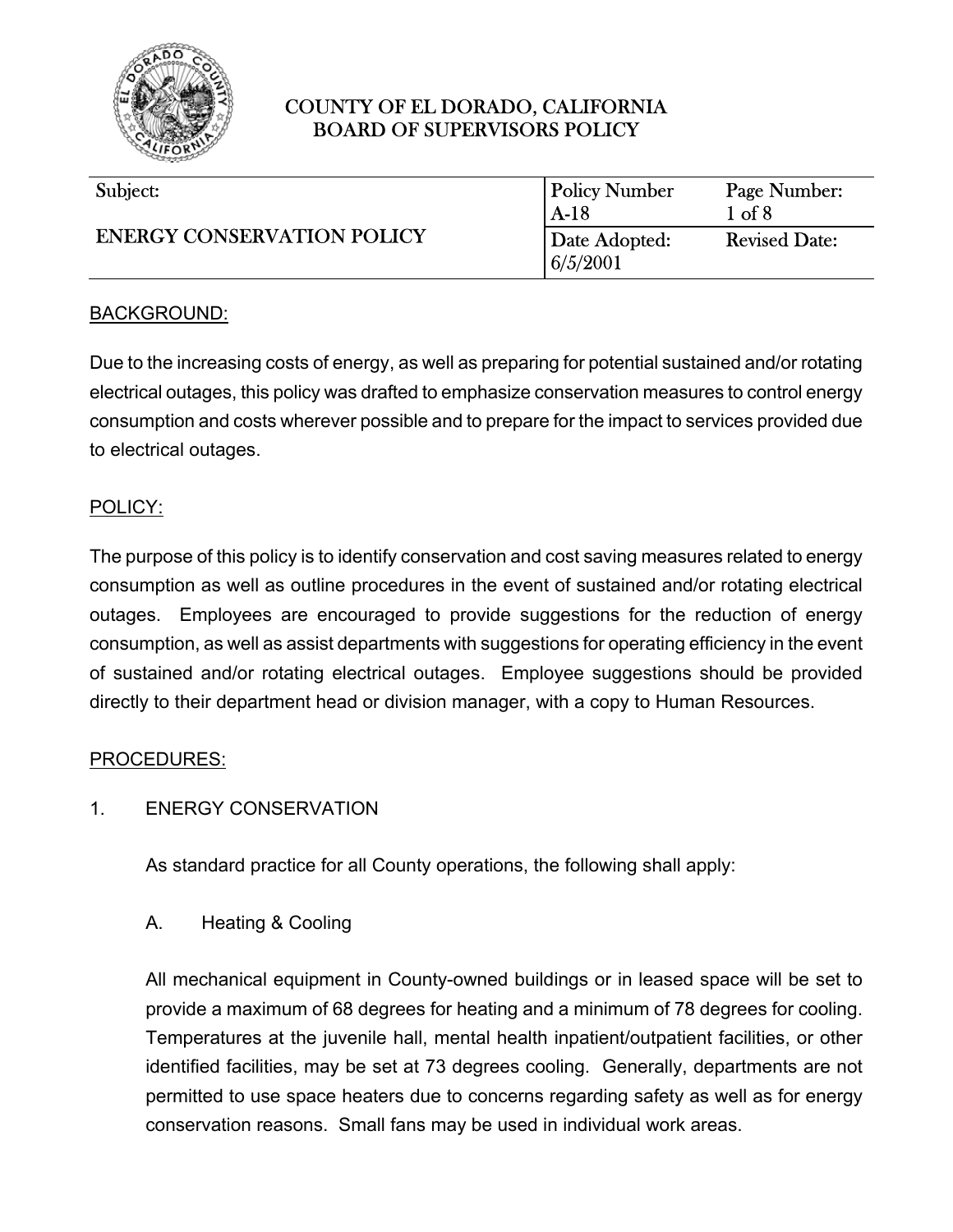

| Subject:<br><b>ENERGY CONSERVATION POLICY</b> | <b>Policy Number</b><br>$A-18$ | Page Number:<br>$1 \text{ of } 8$ |
|-----------------------------------------------|--------------------------------|-----------------------------------|
|                                               | Date Adopted:<br>6/5/2001      | <b>Revised Date:</b>              |

#### BACKGROUND:

Due to the increasing costs of energy, as well as preparing for potential sustained and/or rotating electrical outages, this policy was drafted to emphasize conservation measures to control energy consumption and costs wherever possible and to prepare for the impact to services provided due to electrical outages.

#### POLICY:

The purpose of this policy is to identify conservation and cost saving measures related to energy consumption as well as outline procedures in the event of sustained and/or rotating electrical outages. Employees are encouraged to provide suggestions for the reduction of energy consumption, as well as assist departments with suggestions for operating efficiency in the event of sustained and/or rotating electrical outages. Employee suggestions should be provided directly to their department head or division manager, with a copy to Human Resources.

#### PROCEDURES:

## 1. ENERGY CONSERVATION

As standard practice for all County operations, the following shall apply:

A. Heating & Cooling

All mechanical equipment in County-owned buildings or in leased space will be set to provide a maximum of 68 degrees for heating and a minimum of 78 degrees for cooling. Temperatures at the juvenile hall, mental health inpatient/outpatient facilities, or other identified facilities, may be set at 73 degrees cooling. Generally, departments are not permitted to use space heaters due to concerns regarding safety as well as for energy conservation reasons. Small fans may be used in individual work areas.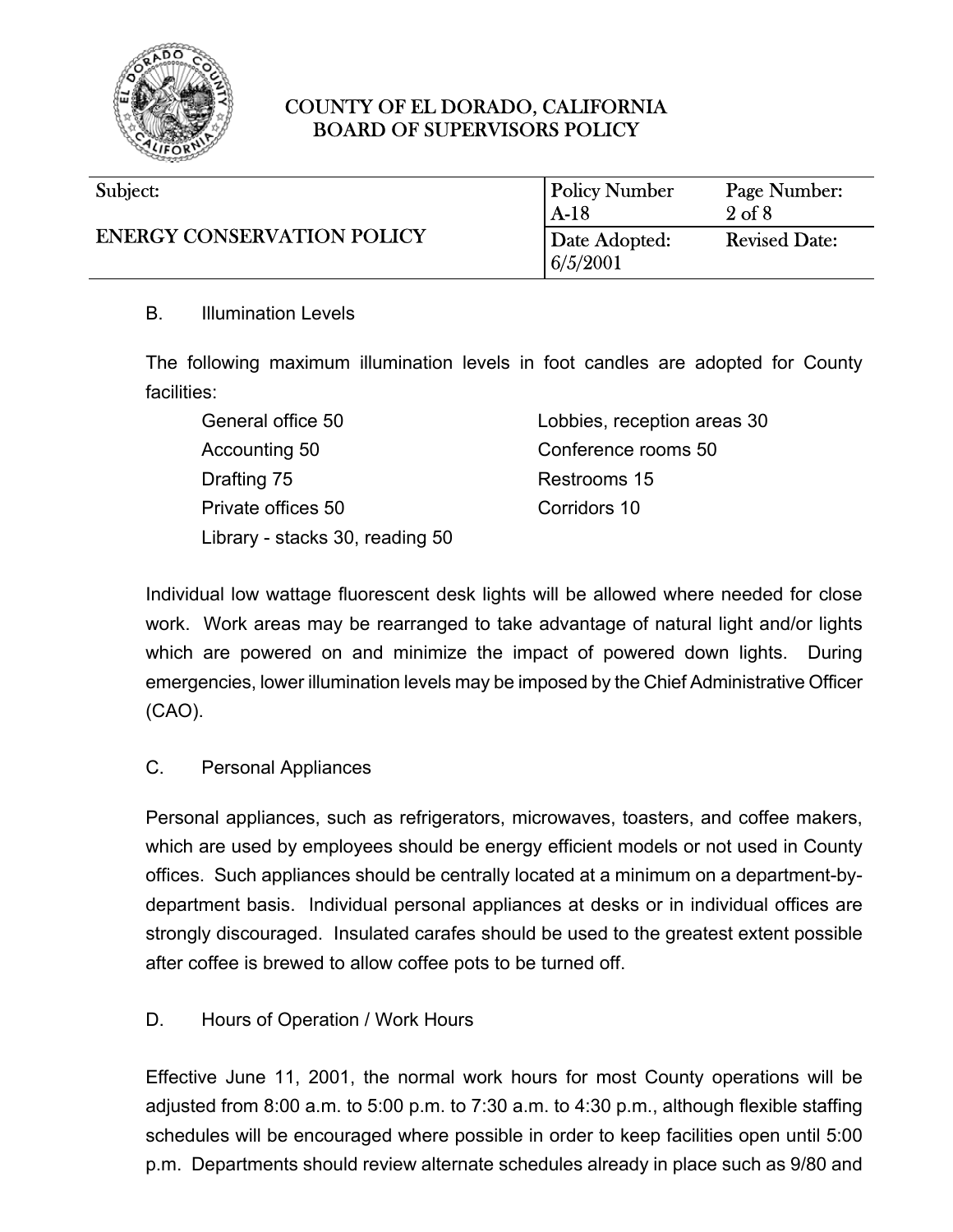

| Subject:                          | <b>Policy Number</b>      | Page Number:         |
|-----------------------------------|---------------------------|----------------------|
| <b>ENERGY CONSERVATION POLICY</b> | $AA-18$                   | $2$ of $8$           |
|                                   | Date Adopted:<br>6/5/2001 | <b>Revised Date:</b> |

#### B. Illumination Levels

The following maximum illumination levels in foot candles are adopted for County facilities:

| General office 50               | Lobbies, reception areas 30 |
|---------------------------------|-----------------------------|
| Accounting 50                   | Conference rooms 50         |
| Drafting 75                     | Restrooms 15                |
| Private offices 50              | Corridors 10                |
| Library - stacks 30, reading 50 |                             |

Individual low wattage fluorescent desk lights will be allowed where needed for close work. Work areas may be rearranged to take advantage of natural light and/or lights which are powered on and minimize the impact of powered down lights. During emergencies, lower illumination levels may be imposed by the Chief Administrative Officer (CAO).

## C. Personal Appliances

Personal appliances, such as refrigerators, microwaves, toasters, and coffee makers, which are used by employees should be energy efficient models or not used in County offices. Such appliances should be centrally located at a minimum on a department-bydepartment basis. Individual personal appliances at desks or in individual offices are strongly discouraged. Insulated carafes should be used to the greatest extent possible after coffee is brewed to allow coffee pots to be turned off.

## D. Hours of Operation / Work Hours

Effective June 11, 2001, the normal work hours for most County operations will be adjusted from 8:00 a.m. to 5:00 p.m. to 7:30 a.m. to 4:30 p.m., although flexible staffing schedules will be encouraged where possible in order to keep facilities open until 5:00 p.m. Departments should review alternate schedules already in place such as 9/80 and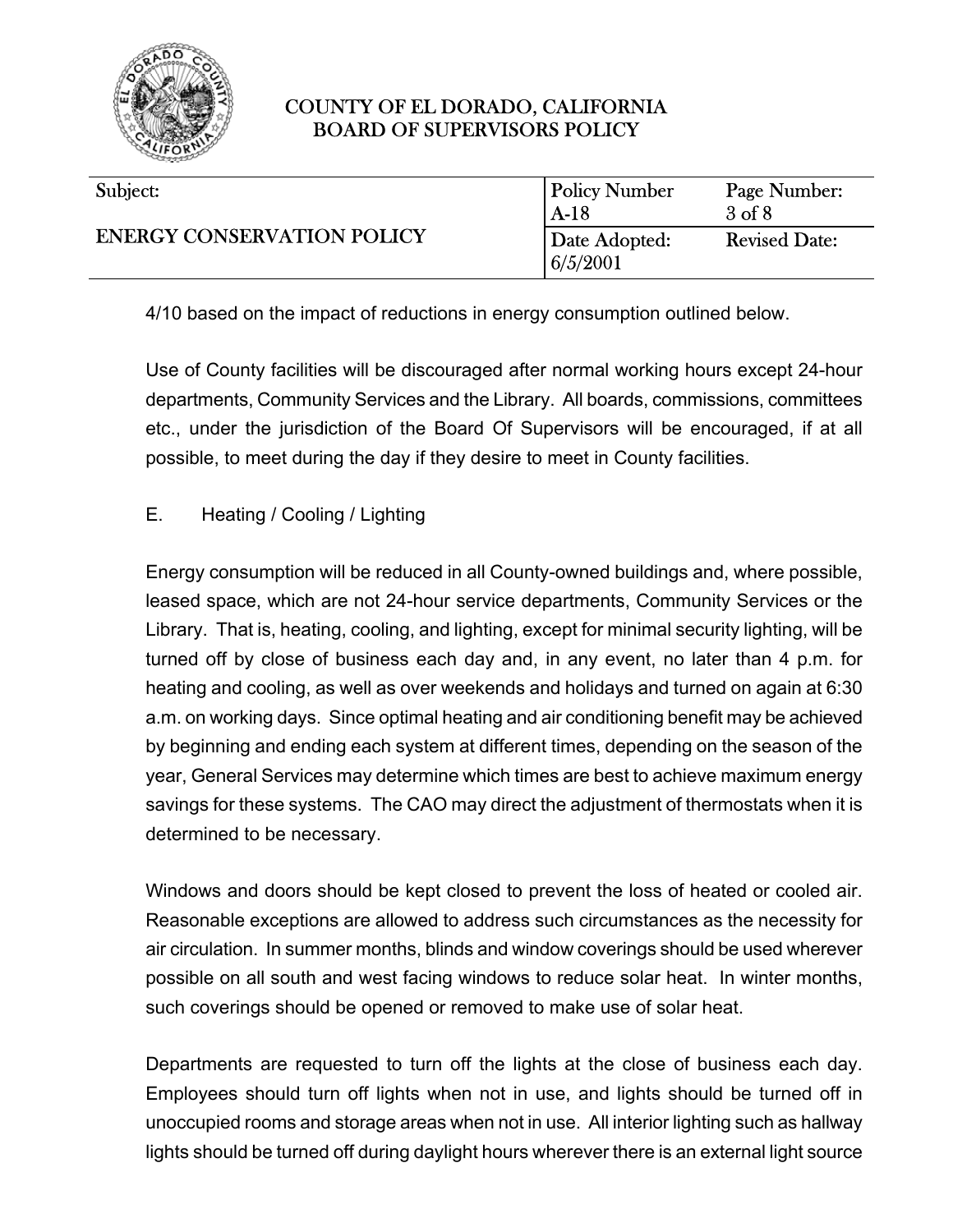

| Subject:                          | <b>Policy Number</b>      | Page Number:         |
|-----------------------------------|---------------------------|----------------------|
| <b>ENERGY CONSERVATION POLICY</b> | $A-18$                    | $3$ of $8$           |
|                                   | Date Adopted:<br>6/5/2001 | <b>Revised Date:</b> |

4/10 based on the impact of reductions in energy consumption outlined below.

Use of County facilities will be discouraged after normal working hours except 24-hour departments, Community Services and the Library. All boards, commissions, committees etc., under the jurisdiction of the Board Of Supervisors will be encouraged, if at all possible, to meet during the day if they desire to meet in County facilities.

## E. Heating / Cooling / Lighting

Energy consumption will be reduced in all County-owned buildings and, where possible, leased space, which are not 24-hour service departments, Community Services or the Library. That is, heating, cooling, and lighting, except for minimal security lighting, will be turned off by close of business each day and, in any event, no later than 4 p.m. for heating and cooling, as well as over weekends and holidays and turned on again at 6:30 a.m. on working days. Since optimal heating and air conditioning benefit may be achieved by beginning and ending each system at different times, depending on the season of the year, General Services may determine which times are best to achieve maximum energy savings for these systems. The CAO may direct the adjustment of thermostats when it is determined to be necessary.

Windows and doors should be kept closed to prevent the loss of heated or cooled air. Reasonable exceptions are allowed to address such circumstances as the necessity for air circulation. In summer months, blinds and window coverings should be used wherever possible on all south and west facing windows to reduce solar heat. In winter months, such coverings should be opened or removed to make use of solar heat.

Departments are requested to turn off the lights at the close of business each day. Employees should turn off lights when not in use, and lights should be turned off in unoccupied rooms and storage areas when not in use. All interior lighting such as hallway lights should be turned off during daylight hours wherever there is an external light source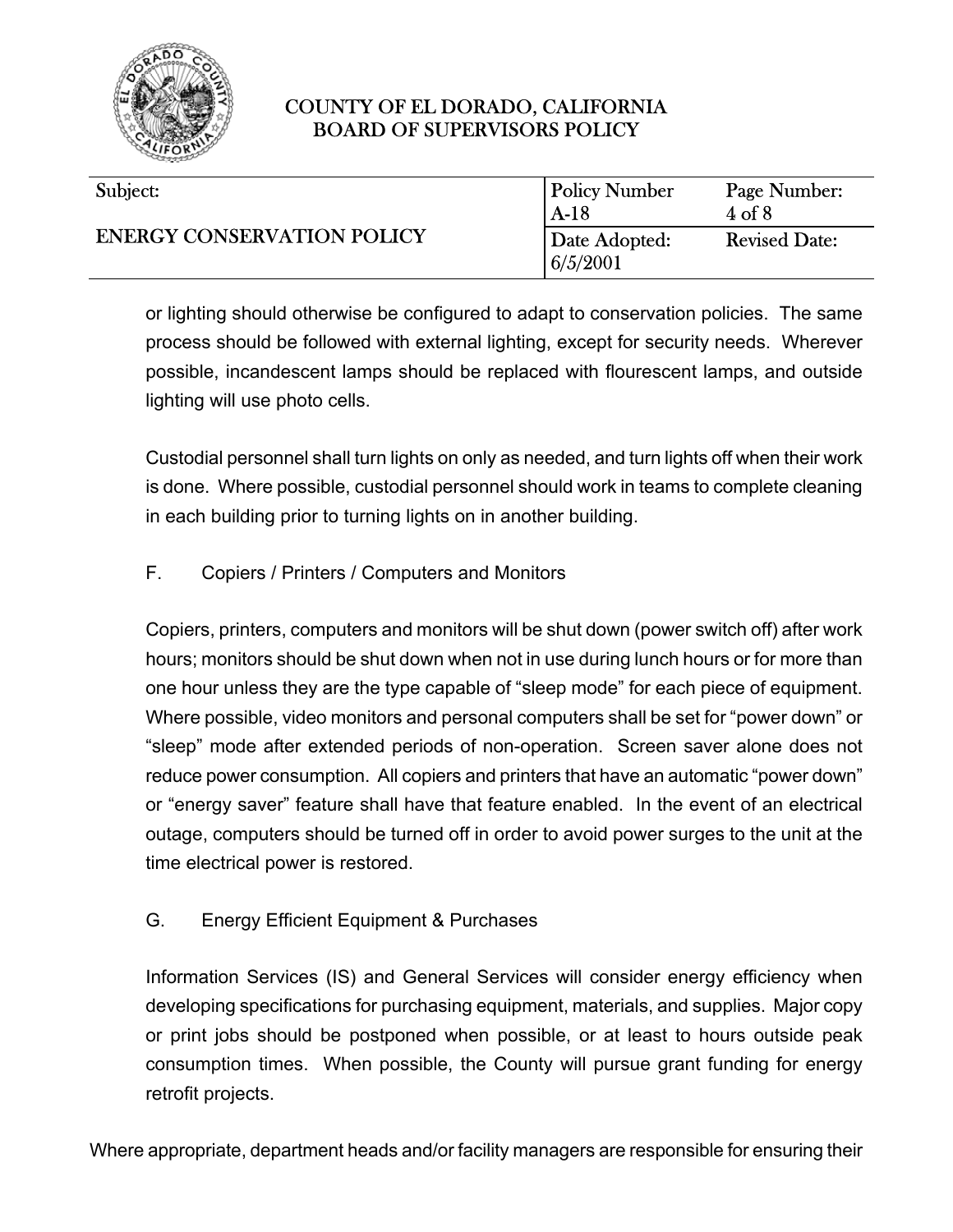

| Subject:                          | <b>Policy Number</b>       | Page Number:         |
|-----------------------------------|----------------------------|----------------------|
| <b>ENERGY CONSERVATION POLICY</b> | A-18                       | $4 \text{ of } 8$    |
|                                   | Date Adopted:<br> 6/5/2001 | <b>Revised Date:</b> |

or lighting should otherwise be configured to adapt to conservation policies. The same process should be followed with external lighting, except for security needs. Wherever possible, incandescent lamps should be replaced with flourescent lamps, and outside lighting will use photo cells.

Custodial personnel shall turn lights on only as needed, and turn lights off when their work is done. Where possible, custodial personnel should work in teams to complete cleaning in each building prior to turning lights on in another building.

## F. Copiers / Printers / Computers and Monitors

Copiers, printers, computers and monitors will be shut down (power switch off) after work hours; monitors should be shut down when not in use during lunch hours or for more than one hour unless they are the type capable of "sleep mode" for each piece of equipment. Where possible, video monitors and personal computers shall be set for "power down" or "sleep" mode after extended periods of non-operation. Screen saver alone does not reduce power consumption. All copiers and printers that have an automatic "power down" or "energy saver" feature shall have that feature enabled. In the event of an electrical outage, computers should be turned off in order to avoid power surges to the unit at the time electrical power is restored.

## G. Energy Efficient Equipment & Purchases

Information Services (IS) and General Services will consider energy efficiency when developing specifications for purchasing equipment, materials, and supplies. Major copy or print jobs should be postponed when possible, or at least to hours outside peak consumption times. When possible, the County will pursue grant funding for energy retrofit projects.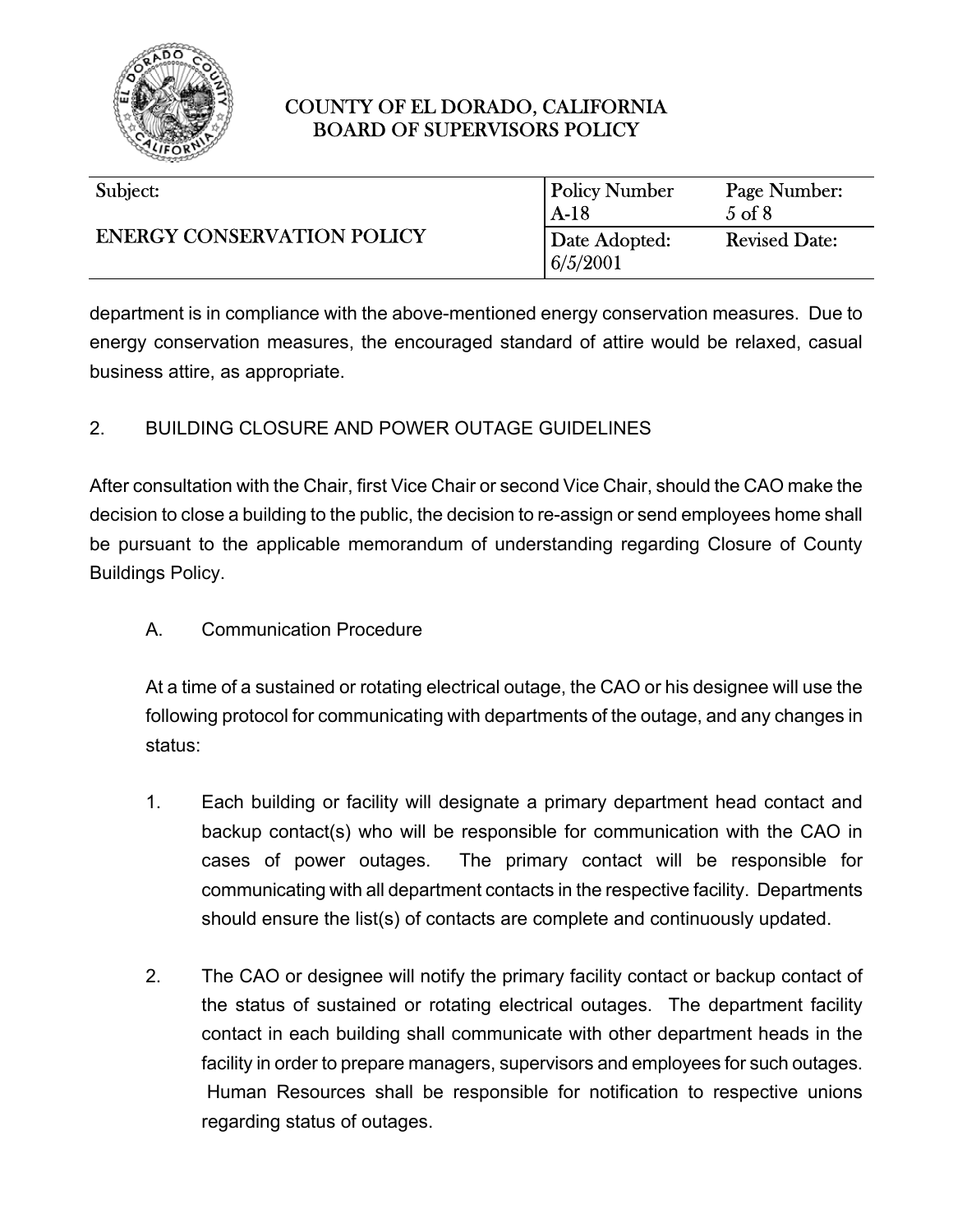

| Subject:                          | <b>Policy Number</b>      | Page Number:         |
|-----------------------------------|---------------------------|----------------------|
| <b>ENERGY CONSERVATION POLICY</b> | A-18                      | $5$ of $8$           |
|                                   | Date Adopted:<br>6/5/2001 | <b>Revised Date:</b> |

department is in compliance with the above-mentioned energy conservation measures. Due to energy conservation measures, the encouraged standard of attire would be relaxed, casual business attire, as appropriate.

# 2. BUILDING CLOSURE AND POWER OUTAGE GUIDELINES

After consultation with the Chair, first Vice Chair or second Vice Chair, should the CAO make the decision to close a building to the public, the decision to re-assign or send employees home shall be pursuant to the applicable memorandum of understanding regarding Closure of County Buildings Policy.

A. Communication Procedure

At a time of a sustained or rotating electrical outage, the CAO or his designee will use the following protocol for communicating with departments of the outage, and any changes in status:

- 1. Each building or facility will designate a primary department head contact and backup contact(s) who will be responsible for communication with the CAO in cases of power outages. The primary contact will be responsible for communicating with all department contacts in the respective facility. Departments should ensure the list(s) of contacts are complete and continuously updated.
- 2. The CAO or designee will notify the primary facility contact or backup contact of the status of sustained or rotating electrical outages. The department facility contact in each building shall communicate with other department heads in the facility in order to prepare managers, supervisors and employees for such outages. Human Resources shall be responsible for notification to respective unions regarding status of outages.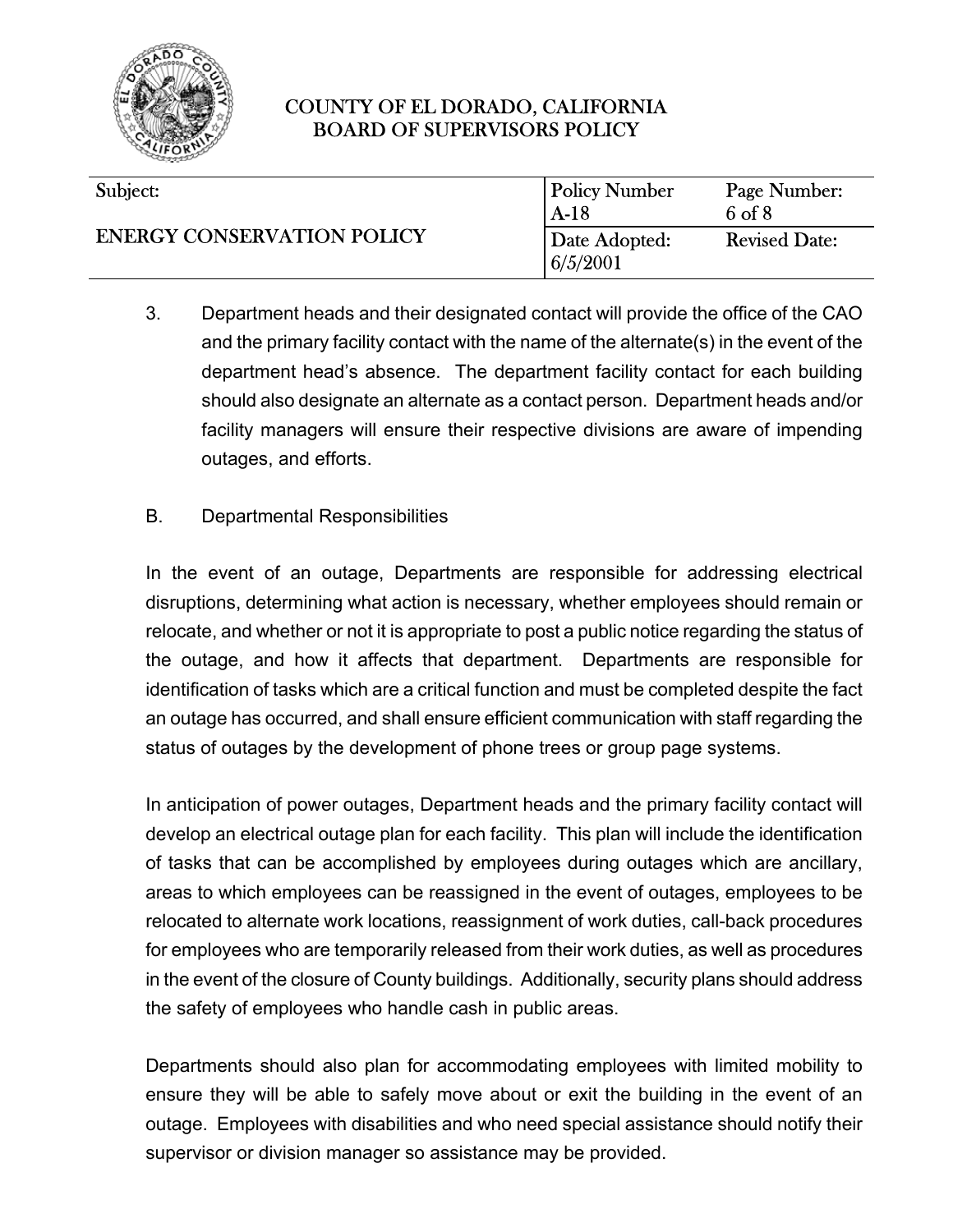

| Subject:                          | <b>Policy Number</b><br>$A-18$ | Page Number:<br>$6$ of $8$ |
|-----------------------------------|--------------------------------|----------------------------|
| <b>ENERGY CONSERVATION POLICY</b> | Date Adopted:<br>6/5/2001      | <b>Revised Date:</b>       |

- 3. Department heads and their designated contact will provide the office of the CAO and the primary facility contact with the name of the alternate(s) in the event of the department head's absence. The department facility contact for each building should also designate an alternate as a contact person. Department heads and/or facility managers will ensure their respective divisions are aware of impending outages, and efforts.
- B. Departmental Responsibilities

In the event of an outage, Departments are responsible for addressing electrical disruptions, determining what action is necessary, whether employees should remain or relocate, and whether or not it is appropriate to post a public notice regarding the status of the outage, and how it affects that department. Departments are responsible for identification of tasks which are a critical function and must be completed despite the fact an outage has occurred, and shall ensure efficient communication with staff regarding the status of outages by the development of phone trees or group page systems.

In anticipation of power outages, Department heads and the primary facility contact will develop an electrical outage plan for each facility. This plan will include the identification of tasks that can be accomplished by employees during outages which are ancillary, areas to which employees can be reassigned in the event of outages, employees to be relocated to alternate work locations, reassignment of work duties, call-back procedures for employees who are temporarily released from their work duties, as well as procedures in the event of the closure of County buildings. Additionally, security plans should address the safety of employees who handle cash in public areas.

Departments should also plan for accommodating employees with limited mobility to ensure they will be able to safely move about or exit the building in the event of an outage. Employees with disabilities and who need special assistance should notify their supervisor or division manager so assistance may be provided.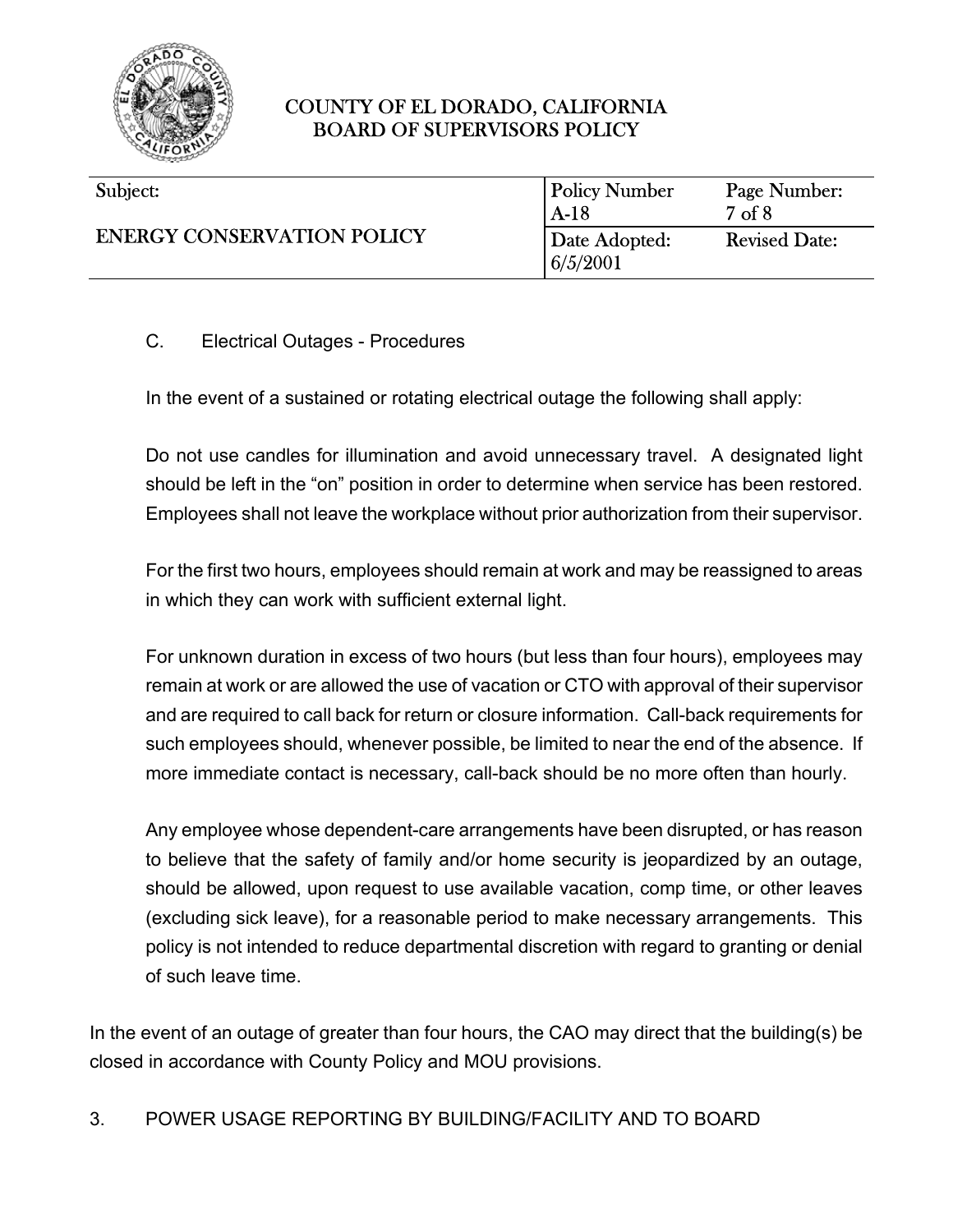

| Subject:<br><b>ENERGY CONSERVATION POLICY</b> | <b>Policy Number</b><br>$A-18$ | Page Number:<br>$7 \text{ of } 8$ |
|-----------------------------------------------|--------------------------------|-----------------------------------|
|                                               | Date Adopted:<br>6/5/2001      | <b>Revised Date:</b>              |

C. Electrical Outages - Procedures

In the event of a sustained or rotating electrical outage the following shall apply:

Do not use candles for illumination and avoid unnecessary travel. A designated light should be left in the "on" position in order to determine when service has been restored. Employees shall not leave the workplace without prior authorization from their supervisor.

For the first two hours, employees should remain at work and may be reassigned to areas in which they can work with sufficient external light.

For unknown duration in excess of two hours (but less than four hours), employees may remain at work or are allowed the use of vacation or CTO with approval of their supervisor and are required to call back for return or closure information. Call-back requirements for such employees should, whenever possible, be limited to near the end of the absence. If more immediate contact is necessary, call-back should be no more often than hourly.

Any employee whose dependent-care arrangements have been disrupted, or has reason to believe that the safety of family and/or home security is jeopardized by an outage, should be allowed, upon request to use available vacation, comp time, or other leaves (excluding sick leave), for a reasonable period to make necessary arrangements. This policy is not intended to reduce departmental discretion with regard to granting or denial of such leave time.

In the event of an outage of greater than four hours, the CAO may direct that the building(s) be closed in accordance with County Policy and MOU provisions.

3. POWER USAGE REPORTING BY BUILDING/FACILITY AND TO BOARD